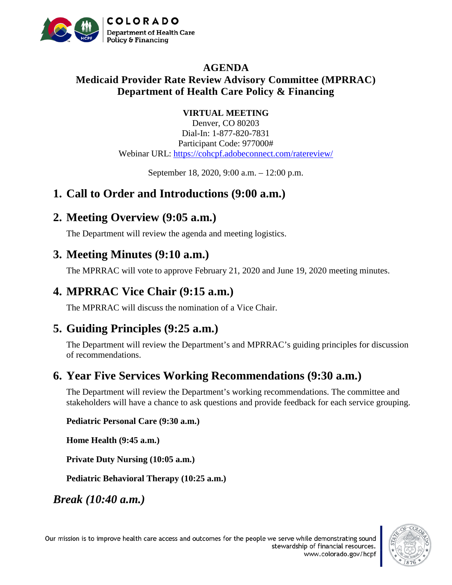

#### **AGENDA Medicaid Provider Rate Review Advisory Committee (MPRRAC) Department of Health Care Policy & Financing**

#### **VIRTUAL MEETING**

Denver, CO 80203 Dial-In: 1-877-820-7831 Participant Code: 977000# Webinar URL:<https://cohcpf.adobeconnect.com/ratereview/>

September 18, 2020, 9:00 a.m. – 12:00 p.m.

## **1. Call to Order and Introductions (9:00 a.m.)**

## **2. Meeting Overview (9:05 a.m.)**

The Department will review the agenda and meeting logistics.

## **3. Meeting Minutes (9:10 a.m.)**

The MPRRAC will vote to approve February 21, 2020 and June 19, 2020 meeting minutes.

# **4. MPRRAC Vice Chair (9:15 a.m.)**

The MPRRAC will discuss the nomination of a Vice Chair.

# **5. Guiding Principles (9:25 a.m.)**

The Department will review the Department's and MPRRAC's guiding principles for discussion of recommendations.

# **6. Year Five Services Working Recommendations (9:30 a.m.)**

The Department will review the Department's working recommendations. The committee and stakeholders will have a chance to ask questions and provide feedback for each service grouping.

**Pediatric Personal Care (9:30 a.m.)**

**Home Health (9:45 a.m.)**

**Private Duty Nursing (10:05 a.m.)**

**Pediatric Behavioral Therapy (10:25 a.m.)**

*Break (10:40 a.m.)*